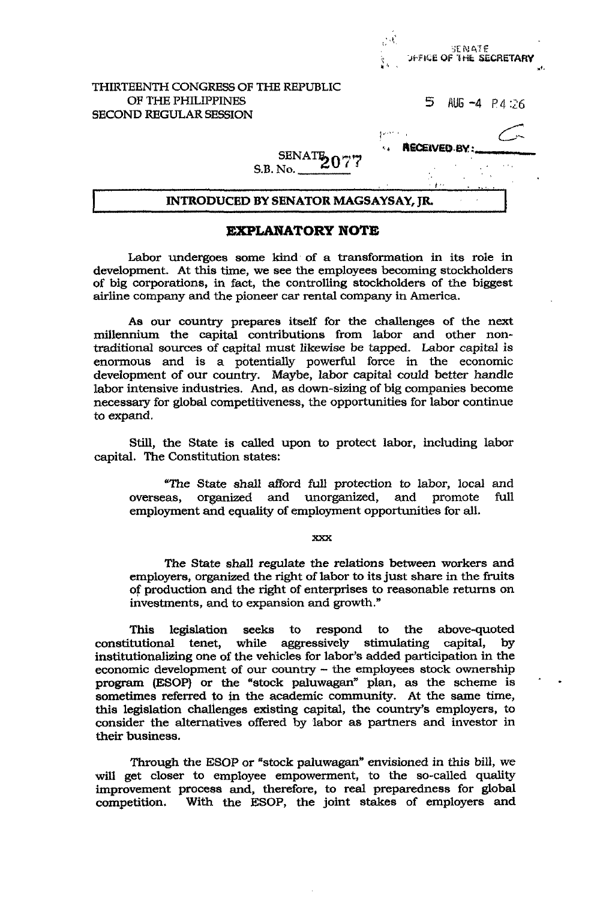| SECOND REGULAR SESSION              |   |                |  |
|-------------------------------------|---|----------------|--|
| OF THE PHILIPPINES                  | 5 | AUG $-4$ P4:26 |  |
| THIRTEENTH CONGRESS OF THE REPUBLIC |   |                |  |

## **EXPLANATORY NOTE**

Labor undergoes some kind of a transformation in its role in development. At this time, we see the employees becoming stockholders of big corporations, in fact, the controlling stockholders of the biggest airline company and the pioneer car rental company in America.

**As** our country prepares itself for the challenges of the next millennium the capital contributions from labor and other nontraditional sources of capital must likewise be tapped. Labor capital *is*  enormous and is a potentially powerful force in the economic development of our country. Maybe, labor capital could better handle labor intensive industries. And, as down-sizing of big companies become necessary for global competitiveness, the opportunities for labor continue to expand.

**Still,** the State **is** called upon to protect labor, including labor capital. The Constitution states:

"The State shall afford *full* protection to labor, local and overseas, organized and unorganized, and promote full employment **and** equality of employment opportunities for all.

*fwI* 

The State shall regulate the relations between workers and employers, organized the right of labor to its just share in the fruits of production and the right of enterprises to reasonable returns on investments, and to expansion and growth."

This legislation seeks to respond to the above-quoted constitutional tenet, while aggressively stimulating capital, by institutionalizing one of the vehicles for labor's added participation in the economic development of our country - the employees stock ownership program (ESOP) or the "stock paluwagan" plan, as the scheme is ' sometimes referred to in the academic community. At the same time, this legislation challenges existing capital, the country's employers, to consider the alternatives offered by labor as partners and investor in their business.

Through the ESOP or "stock paluwagan" envisioned in this bill, we will get closer to employee empowerment, to the so-called quality improvement process and, therefore, to real preparedness for global competition. With the ESOP, the joint stakes of employers and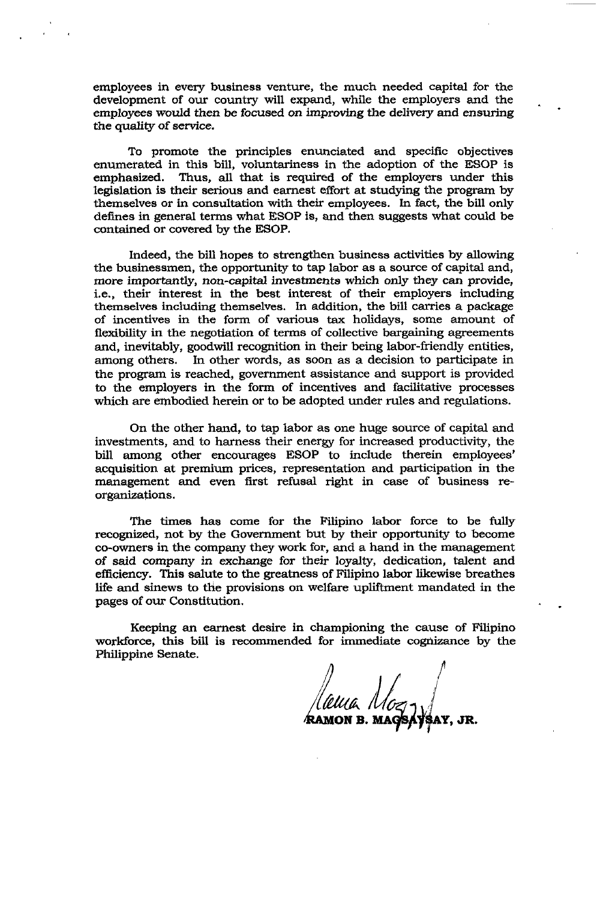employees in every business venture, the much needed capital for the development of our country will expand, while the employers and the employees would then be focused on improving the delivery **and** ensuring **the** quality *of* service.

.

To promote the principles enunciated and specific objectives enumerated in this bill, voluntariness in the adoption of the ESOP is emphasized. Thus, all that is required of the employers under this Thus, all that is required of the employers under this legislation is their serious and earnest effort at studying the program **by**  themselves or in consultation with their employees. **In** fact, the bill only defines in general terms what **ESOP** is, and then suggests what could be contained or covered by the **ESOP.** 

Indeed, the bill **hopes** to strengthen business activities by allowing the businessmen, the opportunity to tap labor as a source of capital and, more importantly, non-capital investments which only they can provide, i.e., their interest in the best interest of their employers including themselves including themselves. In addition, the bill carries a package of incentives in the form of various tax holidays, some amount of flexibility in the negotiation of terms of collective bargaining agreements and, inevitably, goodwill recognition in their being labor-friendly entities, among others. In other words, as soon as a decision to participate in the program is reached, government assistance and support is provided to the employers in the form of incentives and facilitative processes which are embodied herein or to be adopted under rules and regulations.

On the other hand, to tap labor as one huge source of capital and investments, and to harness their energy for increased productivity, the bill among other encourages ESOP to include therein employees' acquisition at premium prices, representation and participation in the management and even first refusal right in case of business reorganizations.

The times has come for the Filipino labor force to be fully recognized, not by the Government but by their opportunity to become eo-owners in the company they work for, and a hand in the management *of* said company in exchange for their loyalty, dedication, talent and efficiency. **This** salute to the greatness of Filipino labor **likewise** breathes life and sinews to the provisions on welfare upliftment mandated in the pages of **OUT** Constitution.

Keeping an earnest desire in championing the cause of Filipino workforce, this bill is recommended for immediate cognizance by the Philippine Senate.

*A P*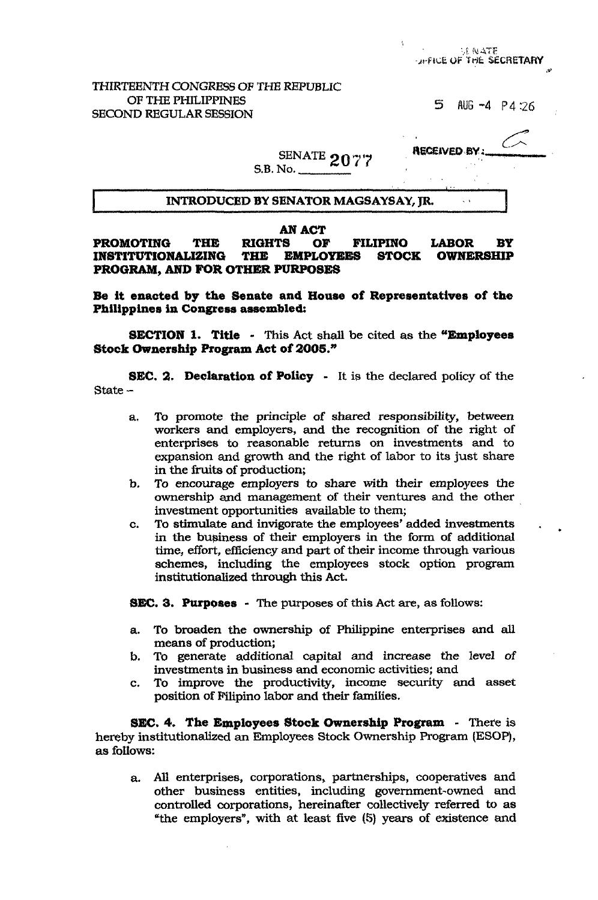SE NATE **DIFFICE OF THE SECRETARY** 

# THIRTEENTH CONGRESS OF THB REPUBLIC OF THE PHILIPPINES **5**<br>SECOND REGULAR SESSION

AUG  $-4$  P4:26

 $\sim$ 

 $\sim$ 

 $\mathbf{l}$ 

**RECEIVED BY**<br> $\overline{P}$ **RECEIVED BY** S.B. No.

# I **INTRODUCED BY SENATOR MAGSAYSAY, JR.**

#### *AN* **ACT**

**PROMOTING THE RIGHTS OF FILIPINO LABOR BY INSTITUTIONALIZING PROGRAM, AND FOR OTHER PURPOSES** 

**Be it enacted by the Senate and House of Representatives of the Philippines in Congress assembled:** 

**SECTION 1. Title** - This Act shall be cited **as** the **"Employees Stock Ownership Program Act of** *2005."* 

**8EC. 2. Declaration of Policy** - It **is** the declared policy of the State -

- a. To promote the principle of shared responsibility, between workers and employers, and the recognition of the right of enterprises to reasonable returns on investments and to expansion and growth and the right of labor to its just share in the fruits of production;
- *To* encourage employers to **share** with their employees the ownership and management of their ventures and the other investment opportunities available to them; *b.*
- c. **To** stimulate and invigorate the employees' added investments . in the bupiness of their employers in the form of additional time, effort, efficiency and part of their income through various schemes, including **the** employees stock option program institutionalized through this Act.

**8EC. 3. Purpoaes** - The purposes of this Act **are,** as follows:

- a. To broaden the ownership of Philippine enterprises and **all**  means of production;
- b. To generate additional capital and increase the level of investments in business and economic activities; and
- c. To improve the productivity, income **security** and asset position **of** Filipino labor and their families.

**SEC. 4. The Employees Stock Ownership Program** - There is hereby institutionalized an Employees Stock Ownership Program (ESOP), as follows:

a. All enterprises, corporations, partnerships, cooperatives and other business entities, including government-owned and controlled corporations, hereinafter collectively referred to as "the employers", with at least five (5) years of existence and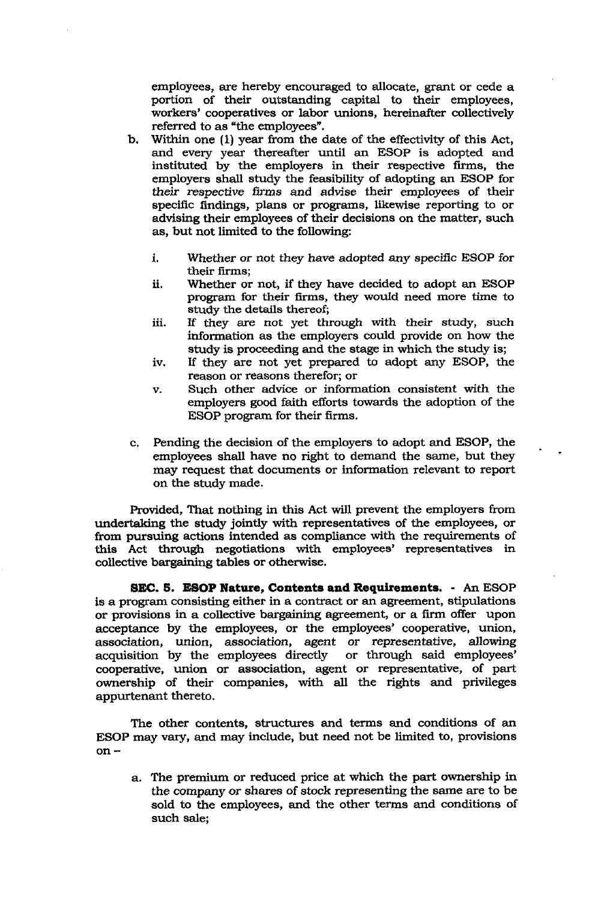employees, are hereby encouraged to allocate, grant or cede a portion of their outstanding capital to their employees, workers' cooperatives or labor unions, hereinafter collectively referred to as "the employees".

- b. Within one (1) year from the date of the effectivity of this Act, and every year thereafter until an ESOP is adopted and instituted by the employers in their respective firms, the employers shall study the feasibility of adopting an ESOP for their respective firms and advise their employees of their specific findings, plans or programs, likewise reporting to or advising their employees of their decisions on the matter, such as, but not limited to the following:
	- i. Whether or not they have adopted any specific ESOP for their firms;
	- ii. Whether or not, if they have decided to adopt an ESOP program for their **firms, they** would need more time to study the details thereof;
	- iii. If they **are** not yet through with their study, such information as the employers could provide on how the study is proceeding and the stage in which the study is;
	- iv. If they are not yet prepared to adopt any ESOP, the reason or reasons therefor; or
	- v. Such other advice or information consistent with the employers good faith efforts towards the adoption of the ESOP program for their firms.

.

c. Pending the decision of the employers to adopt and ESOP, the employees shall have no right to demand the same, but they may request that documents or information relevant to report on the study made.

Provided, That nothing in **this** Act will prevent the employers from undertaking the study jointly with representatives of the employees, or from pursuing actions intended as compliance with the requirements of this Act through negotiations with employees' representatives in collective bargaining tables or otherwise.

**SEC. 6. ESOP Nature, Contents and Requirements.** - *An* ESOP **is** a program consisting either in a contract or an agreement, stipulations or provisions in a collective bargaining agreement, or a firm offer upon acceptance by the employees, or the employees' cooperative, union, association, union, association, agent or representative, allowing<br>acquisition by the employees directly or through said employees' acquisition by the employees directly cooperative, union or association, agent or representative, of part ownership of their companies, with **all** the rights and privileges appurtenant thereto.

The other contents, structures and terms and conditions of an ESOP may vary, and may include, but need not be limited to, provisions on -

a. The premium or reduced price at which the part ownership in the company or shares of stock representing the same are to be sold to the employees, and the other terms and conditions of such sale;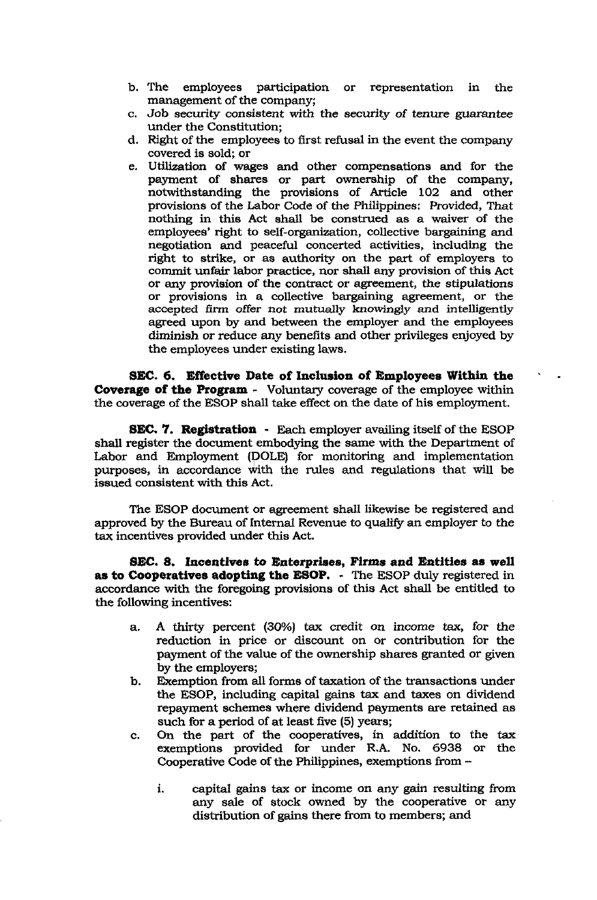- b. The employees participation or representation in the management of the company;
- c. Job security consistent with the security of tenure guarantee under the Constitution;
- d. Right of the employees to first refusal in the event the company covered is sold; or
- e. Utilization of wages and other compensations and for the payment of shares or part ownership of the company, notwithstanding the provisions of Article 102 and other provisions of the Labor Code of the Philippines: Provided, That nothing in this Act shall be construed as a waiver of the employees' right to self-organization, collective bargaining and negotiation and peaceful concerted activities, including the right to strike, or as authority on the part of employers to comrnit **unfair** labor practice, nor shall any provision of thie, Act or **any** provision of the contract or agreement, the stipulations or provisions in a collective bargaining agreement, or the accepted **firm offer** *not* mutudy **knowingly and** intelligently agreed upon by and between the employer and the employees diminish or reduce any benefits and other privileges enjoyed by the employees under existing laws.

**SEC. 6. Effective Date of Inclusion of Employees Within the Coverage of the Program** - Voluntary coverage of the employee within the coverage of the ESOP shall take effect on the date of his employment.

**8EC.** '7. **Registration** - Each employer availing itself of the ESOP shall register the document embodying the same with the Department of Labor and Employment (DOLE) for monitoring and implementation purposes, in accordance with the rules and regulations that will be issued consistent with this Act.

The ESOP document or agreement shall likewise be registered and approved by the Bureau of Internal Revenue to qualify an employer to the **tax** incentives provided under **this** Act.

**8EC. 8. Incentives to Enterprises, Firms and Entities as well as to Cooperatives adopting the ESOP.** - The **ESOP** duly registered in accordance with the foregoing provisions of this Act shall be entitled to the following incentives:

- a. **A** thirty percent **(30%)** tax credit on income tax, for the reduction in price or discount on or contribution for the payment of the value of the ownership shares granted or given by the employers;
- Exemption from all forms of taxation of the transactions under the ESOP, including capital gains tax and taxes on dividend repayment schemes where dividend payments are retained as such for a period of at least five **(5)** years; b.
- c. On the part of the cooperatives, in addition to the tax exemptions provided for under R.A. No. **6938** or the Cooperative Code of the Philippines, exemptions from
	- **i.**  capital gains tax or income on any **gain** resulting from any sale of stock owned by the cooperative or any distribution of gains there from to members; and